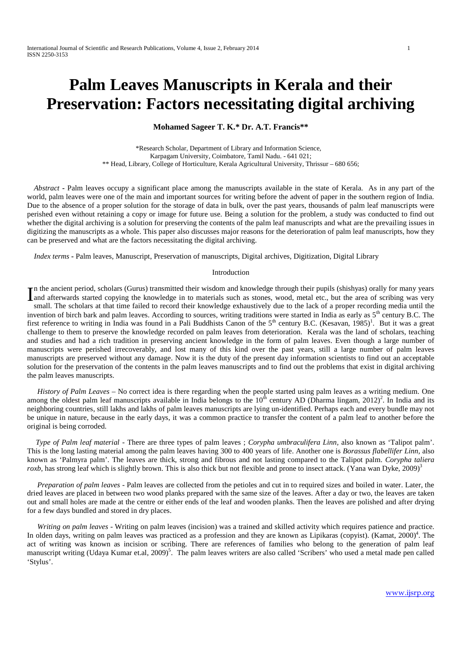# **Palm Leaves Manuscripts in Kerala and their Preservation: Factors necessitating digital archiving**

**Mohamed Sageer T. K.\* Dr. A.T. Francis\*\***

\*Research Scholar, Department of Library and Information Science, Karpagam University, Coimbatore, Tamil Nadu. - 641 021; \*\* Head, Library, College of Horticulture, Kerala Agricultural University, Thrissur –680 656;

*Abstract* **-** Palm leaves occupy a significant place among the manuscripts available in the state of Kerala. As in any part of the world, palm leaves were one of the main and important sources for writing before the advent of paper in the southern region of India. Due to the absence of a proper solution for the storage of data in bulk, over the past years, thousands of palm leaf manuscripts were perished even without retaining a copy or image for future use. Being a solution for the problem, a study was conducted to find out whether the digital archiving is a solution for preserving the contents of the palm leaf manuscripts and what are the prevailing issues in digitizing the manuscripts as a whole. This paper also discusses major reasons for the deterioration of palm leaf manuscripts, how they can be preserved and what are the factors necessitating the digital archiving.

*Index terms* **-** Palm leaves, Manuscript, Preservation of manuscripts, Digital archives, Digitization, Digital Library

#### Introduction

n the ancient period, scholars (Gurus) transmitted their wisdom and knowledge through their pupils (shishyas) orally for many years In the ancient period, scholars (Gurus) transmitted their wisdom and knowledge through their pupils (shishyas) orally for many years and afterwards started copying the knowledge in to materials such as stones, wood, metal small. The scholars at that time failed to record their knowledge exhaustively due to the lack of a proper recording media until the invention of birch bark and palm leaves. According to sources, writing traditions were started in India as early as  $5<sup>th</sup>$  century B.C. The first reference to writing in India was found in a Pali Buddhists Canon of the  $5<sup>th</sup>$  century B.C. (Kesavan, 1985)<sup>1</sup>. But it was a great challenge to them to preserve the knowledge recorded on palm leaves from deterioration. Kerala was the land of scholars, teaching and studies and had a rich tradition in preserving ancient knowledge in the form of palm leaves. Even though a large number of manuscripts were perished irrecoverably, and lost many of this kind over the past years, still a large number of palm leaves manuscripts are preserved without any damage. Now it is the duty of the present day information scientists to find out an acceptable solution for the preservation of the contents in the palm leaves manuscripts and to find out the problems that exist in digital archiving the palm leaves manuscripts.

*History of Palm Leaves* –No correct idea is there regarding when the people started using palm leaves as a writing medium. One among the oldest palm leaf manuscripts available in India belongs to the  $10^{th}$  century AD (Dharma lingam, 2012)<sup>2</sup>. In India and its neighboring countries, still lakhs and lakhs of palm leaves manuscripts are lying un-identified. Perhaps each and every bundle may not be unique in nature, because in the early days, it was a common practice to transfer the content of a palm leaf to another before the original is being corroded.

*Type of Palm leaf material* - There are three types of palm leaves ; *Corypha umbraculifera Linn,* also known as 'Talipot palm'. This is the long lasting material among the palm leaves having 300 to 400 years of life. Another one is *Borassus flabellifer Linn,* also known as 'Palmyra palm'. The leaves are thick, strong and fibrous and not lasting compared to the Talipot palm. *Corypha taliera roxb*, has strong leaf which is slightly brown. This is also thick but not flexible and prone to insect attack. (Yana wan Dyke, 2009)<sup>3</sup>

*Preparation of palm leaves* - Palm leaves are collected from the petioles and cut in to required sizes and boiled in water. Later, the dried leaves are placed in between two wood planks prepared with the same size of the leaves. After a day or two, the leaves are taken out and small holes are made at the centre or either ends of the leaf and wooden planks. Then the leaves are polished and after drying for a few days bundled and stored in dry places.

*Writing on palm leaves* - Writing on palm leaves (incision) was a trained and skilled activity which requires patience and practice. In olden days, writing on palm leaves was practiced as a profession and they are known as Lipikaras (copyist). (Kamat, 2000)<sup>4</sup>. The act of writing was known as incision or scribing. There are references of families who belong to the generation of palm leaf manuscript writing (Udaya Kumar et.al, 2009)<sup>5</sup>. The palm leaves writers are also called 'Scribers' who used a metal made pen called 'Stylus'.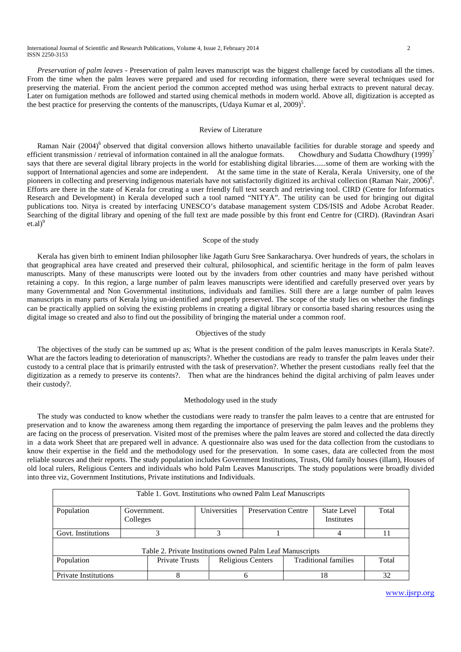*Preservation of palm leaves -* Preservation of palm leaves manuscript was the biggest challenge faced by custodians all the times. From the time when the palm leaves were prepared and used for recording information, there were several techniques used for preserving the material. From the ancient period the common accepted method was using herbal extracts to prevent natural decay. Later on fumigation methods are followed and started using chemical methods in modern world. Above all, digitization is accepted as the best practice for preserving the contents of the manuscripts, (Udaya Kumar et al, 2009)<sup>5</sup>.

## Review of Literature

Raman Nair (2004)<sup>6</sup> observed that digital conversion allows hitherto unavailable facilities for durable storage and speedy and efficient transmission / retrieval of information contained in all the analogue formats. Chowdhury and Sudatta Chowdhury (1999)<sup>7</sup> says that there are several digital library projects in the world for establishing digital libraries......some of them are working with the support of International agencies and some are independent. At the same time in the state of Kerala, Kerala University, one of the pioneers in collecting and preserving indigenous materials have not satisfactorily digitized its archival collection (Raman Nair, 2006)<sup>8</sup>. Efforts are there in the state of Kerala for creating a user friendly full text search and retrieving tool. CIRD (Centre for Informatics Research and Development) in Kerala developed such a tool named "NITYA". The utility can be used for bringing out digital publications too. Nitya is created by interfacing UNESCO's database management system CDS/ISIS and Adobe Acrobat Reader. Searching of the digital library and opening of the full text are made possible by this front end Centre for (CIRD). (Ravindran Asari  $et.al)<sup>9</sup>$ 

## Scope of the study

Kerala has given birth to eminent Indian philosopher like Jagath Guru Sree Sankaracharya. Over hundreds of years, the scholars in that geographical area have created and preserved their cultural, philosophical, and scientific heritage in the form of palm leaves manuscripts. Many of these manuscripts were looted out by the invaders from other countries and many have perished without retaining a copy. In this region, a large number of palm leaves manuscripts were identified and carefully preserved over years by many Governmental and Non Governmental institutions, individuals and families. Still there are a large number of palm leaves manuscripts in many parts of Kerala lying un-identified and properly preserved. The scope of the study lies on whether the findings can be practically applied on solving the existing problems in creating a digital library or consortia based sharing resources using the digital image so created and also to find out the possibility of bringing the material under a common roof.

### Objectives of the study

The objectives of the study can be summed up as; What is the present condition of the palm leaves manuscripts in Kerala State?. What are the factors leading to deterioration of manuscripts?. Whether the custodians are ready to transfer the palm leaves under their custody to a central place that is primarily entrusted with the task of preservation?. Whether the present custodians really feel that the digitization as a remedy to preserve its contents?. Then what are the hindrances behind the digital archiving of palm leaves under their custody?.

## Methodology used in the study

The study was conducted to know whether the custodians were ready to transfer the palm leaves to a centre that are entrusted for preservation and to know the awareness among them regarding the importance of preserving the palm leaves and the problems they are facing on the process of preservation. Visited most of the premises where the palm leaves are stored and collected the data directly in a data work Sheet that are prepared well in advance. A questionnaire also was used for the data collection from the custodians to know their expertise in the field and the methodology used for the preservation. In some cases, data are collected from the most reliable sources and their reports. The study population includes Government Institutions, Trusts, Old family houses (illam), Houses of old local rulers, Religious Centers and individuals who hold Palm Leaves Manuscripts. The study populations were broadly divided into three viz, Government Institutions, Private institutions and Individuals.

| Table 1. Govt. Institutions who owned Palm Leaf Manuscripts |                         |                |  |                   |                            |                             |                           |       |
|-------------------------------------------------------------|-------------------------|----------------|--|-------------------|----------------------------|-----------------------------|---------------------------|-------|
| Population                                                  | Government.<br>Colleges |                |  | Universities      | <b>Preservation Centre</b> |                             | State Level<br>Institutes | Total |
| Govt. Institutions                                          |                         |                |  |                   |                            |                             |                           |       |
| Table 2. Private Institutions owned Palm Leaf Manuscripts   |                         |                |  |                   |                            |                             |                           |       |
| Population                                                  |                         | Private Trusts |  | Religious Centers |                            | <b>Traditional families</b> |                           | Total |
| <b>Private Institutions</b>                                 |                         |                |  |                   |                            | 18                          |                           | 32    |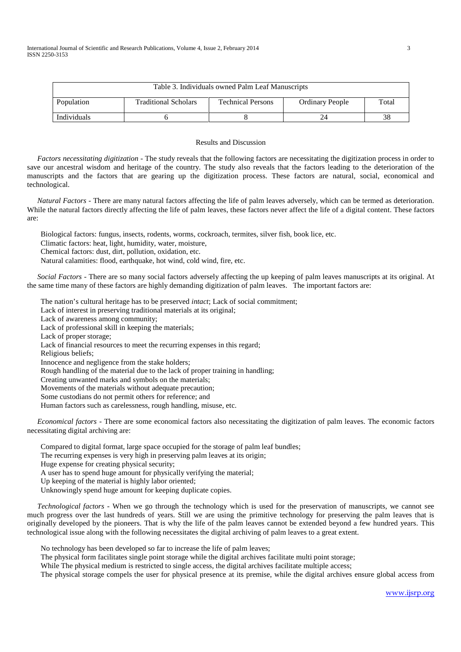| Table 3. Individuals owned Palm Leaf Manuscripts |                             |                          |                        |       |  |  |  |
|--------------------------------------------------|-----------------------------|--------------------------|------------------------|-------|--|--|--|
| Population                                       | <b>Traditional Scholars</b> | <b>Technical Persons</b> | <b>Ordinary People</b> | Total |  |  |  |
| <b>Individuals</b>                               |                             |                          |                        | 38    |  |  |  |

## Results and Discussion

*Factors necessitating digitization -* The study reveals that the following factors are necessitating the digitization process in order to save our ancestral wisdom and heritage of the country. The study also reveals that the factors leading to the deterioration of the manuscripts and the factors that are gearing up the digitization process. These factors are natural, social, economical and technological.

*Natural Factors -* There are many natural factors affecting the life of palm leaves adversely, which can be termed as deterioration. While the natural factors directly affecting the life of palm leaves, these factors never affect the life of a digital content. These factors are:

Biological factors: fungus, insects, rodents, worms, cockroach, termites, silver fish, book lice, etc.

Climatic factors: heat, light, humidity, water, moisture,

Chemical factors: dust, dirt, pollution, oxidation, etc.

Natural calamities: flood, earthquake, hot wind, cold wind, fire, etc.

*Social Factors -* There are so many social factors adversely affecting the up keeping of palm leaves manuscripts at its original. At the same time many of these factors are highly demanding digitization of palm leaves. The important factors are:

The nation's cultural heritage has to be preserved *intact*; Lack of social commitment;

Lack of interest in preserving traditional materials at its original;

Lack of awareness among community;

Lack of professional skill in keeping the materials;

Lack of proper storage;

Lack of financial resources to meet the recurring expenses in this regard;

Religious beliefs;

Innocence and negligence from the stake holders;

Rough handling of the material due to the lack of proper training in handling;

Creating unwanted marks and symbols on the materials;

Movements of the materials without adequate precaution;

Some custodians do not permit others for reference; and

Human factors such as carelessness, rough handling, misuse, etc.

*Economical factors -* There are some economical factors also necessitating the digitization of palm leaves. The economic factors necessitating digital archiving are:

Compared to digital format, large space occupied for the storage of palm leaf bundles;

The recurring expenses is very high in preserving palm leaves at its origin;

Huge expense for creating physical security;

A user has to spend huge amount for physically verifying the material;

Up keeping of the material is highly labor oriented;

Unknowingly spend huge amount for keeping duplicate copies.

*Technological factors -* When we go through the technology which is used for the preservation of manuscripts, we cannot see much progress over the last hundreds of years. Still we are using the primitive technology for preserving the palm leaves that is originally developed by the pioneers. That is why the life of the palm leaves cannot be extended beyond a few hundred years. This technological issue along with the following necessitates the digital archiving of palm leaves to a great extent.

No technology has been developed so far to increase the life of palm leaves;

The physical form facilitates single point storage while the digital archives facilitate multi point storage;

While The physical medium is restricted to single access, the digital archives facilitate multiple access;

The physical storage compels the user for physical presence at its premise, while the digital archives ensure global access from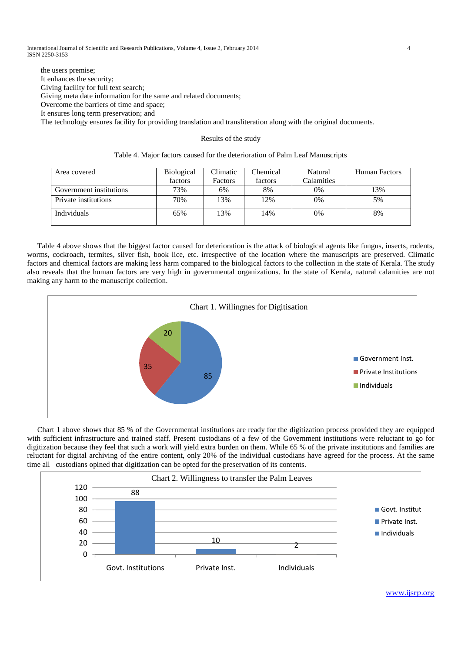International Journal of Scientific and Research Publications, Volume 4, Issue 2, February 2014 4 ISSN 2250-3153

the users premise; It enhances the security; Giving facility for full text search; Giving meta date information for the same and related documents; Overcome the barriers of time and space; It ensures long term preservation; and

The technology ensures facility for providing translation and transliteration along with the original documents.

#### Results of the study

| Table 4. Major factors caused for the deterioration of Palm Leaf Manuscripts |  |  |  |
|------------------------------------------------------------------------------|--|--|--|
|                                                                              |  |  |  |

| Area covered            | <b>Biological</b> | Climatic | Chemical | Natural    | Human Factors |
|-------------------------|-------------------|----------|----------|------------|---------------|
|                         | factors           | Factors  | factors  | Calamities |               |
| Government institutions | 73%               | 6%       | 8%       | 0%         | 13%           |
| Private institutions    | 70%               | 13%      | 12%      | 0%         | 5%            |
| Individuals             | 65%               | 13%      | 14%      | 0%         | 8%            |

Table 4 above shows that the biggest factor caused for deterioration is the attack of biological agents like fungus, insects, rodents, worms, cockroach, termites, silver fish, book lice, etc. irrespective of the location where the manuscripts are preserved. Climatic factors and chemical factors are making less harm compared to the biological factors to the collection in the state of Kerala. The study also reveals that the human factors are very high in governmental organizations. In the state of Kerala, natural calamities are not making any harm to the manuscript collection.



Chart 1 above shows that 85 % of the Governmental institutions are ready for the digitization process provided they are equipped with sufficient infrastructure and trained staff. Present custodians of a few of the Government institutions were reluctant to go for digitization because they feel that such a work will yield extra burden on them. While 65 % of the private institutions and families are reluctant for digital archiving of the entire content, only 20% of the individual custodians have agreed for the process. At the same time all custodians opined that digitization can be opted for the preservation of its contents.



www.ijsrp.org